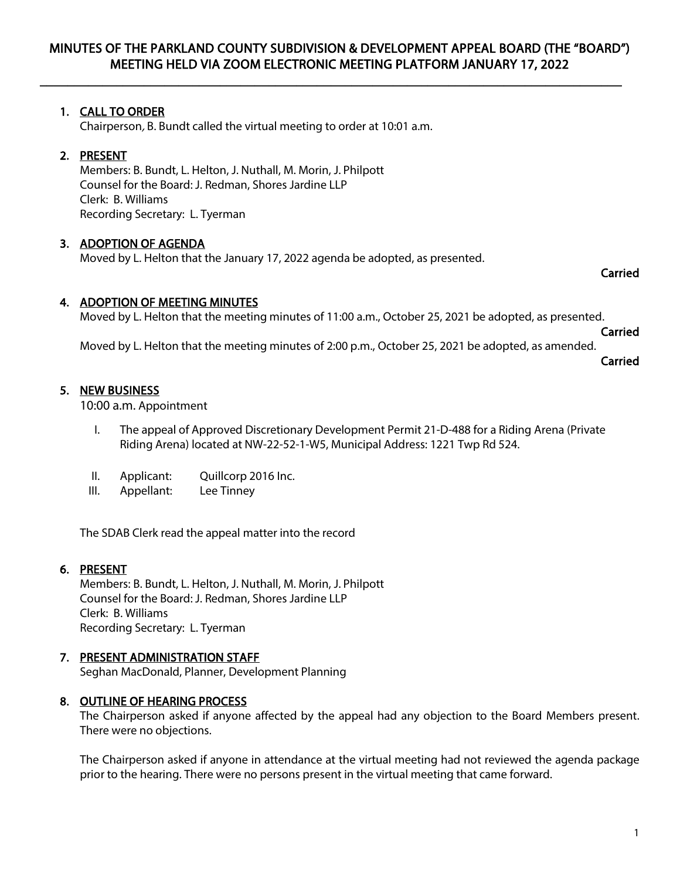$\overline{\phantom{a}}$  , and the contribution of the contribution of the contribution of the contribution of the contribution of the contribution of the contribution of the contribution of the contribution of the contribution of the

# 1. CALL TO ORDER

Chairperson, B. Bundt called the virtual meeting to order at 10:01 a.m.

# 2. PRESENT

Members: B. Bundt, L. Helton, J. Nuthall, M. Morin, J. Philpott Counsel for the Board: J. Redman, Shores Jardine LLP Clerk: B. Williams Recording Secretary: L. Tyerman

#### 3. ADOPTION OF AGENDA

Moved by L. Helton that the January 17, 2022 agenda be adopted, as presented.

#### Carried

#### 4. ADOPTION OF MEETING MINUTES

Moved by L. Helton that the meeting minutes of 11:00 a.m., October 25, 2021 be adopted, as presented.

Carried

Moved by L. Helton that the meeting minutes of 2:00 p.m., October 25, 2021 be adopted, as amended.

#### Carried

### 5. NEW BUSINESS

10:00 a.m. Appointment

- I. The appeal of Approved Discretionary Development Permit 21-D-488 for a Riding Arena (Private Riding Arena) located at NW-22-52-1-W5, Municipal Address: 1221 Twp Rd 524.
- II. Applicant: Quillcorp 2016 Inc.
- III. Appellant: Lee Tinney

The SDAB Clerk read the appeal matter into the record

#### 6. PRESENT

Members: B. Bundt, L. Helton, J. Nuthall, M. Morin, J. Philpott Counsel for the Board: J. Redman, Shores Jardine LLP Clerk: B. Williams Recording Secretary: L. Tyerman

#### 7. PRESENT ADMINISTRATION STAFF

Seghan MacDonald, Planner, Development Planning

#### 8. OUTLINE OF HEARING PROCESS

The Chairperson asked if anyone affected by the appeal had any objection to the Board Members present. There were no objections.

The Chairperson asked if anyone in attendance at the virtual meeting had not reviewed the agenda package prior to the hearing. There were no persons present in the virtual meeting that came forward.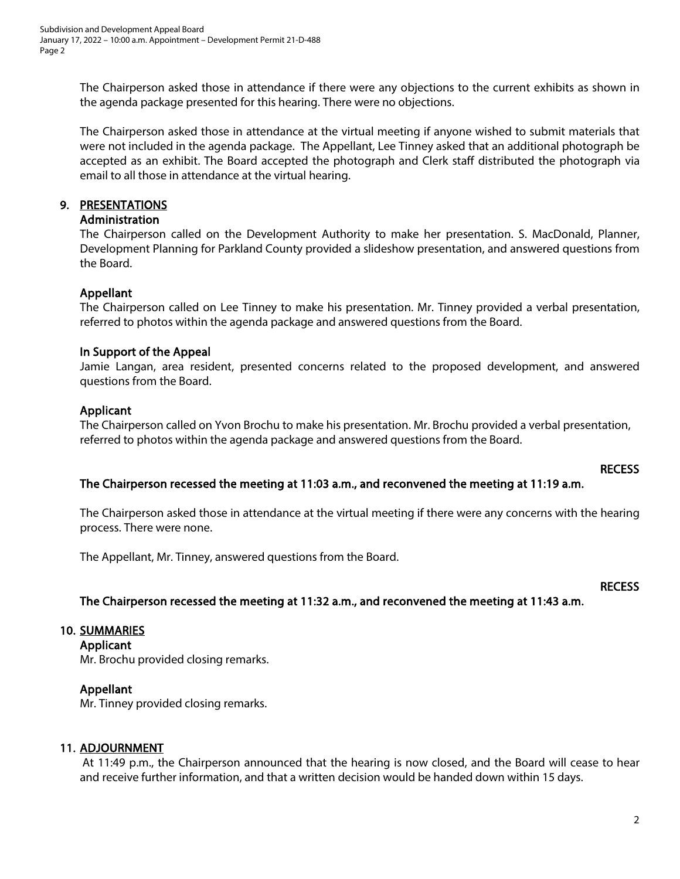The Chairperson asked those in attendance if there were any objections to the current exhibits as shown in the agenda package presented for this hearing. There were no objections.

The Chairperson asked those in attendance at the virtual meeting if anyone wished to submit materials that were not included in the agenda package. The Appellant, Lee Tinney asked that an additional photograph be accepted as an exhibit. The Board accepted the photograph and Clerk staff distributed the photograph via email to all those in attendance at the virtual hearing.

# 9. PRESENTATIONS

#### Administration

The Chairperson called on the Development Authority to make her presentation. S. MacDonald, Planner, Development Planning for Parkland County provided a slideshow presentation, and answered questions from the Board.

#### Appellant

The Chairperson called on Lee Tinney to make his presentation. Mr. Tinney provided a verbal presentation, referred to photos within the agenda package and answered questions from the Board.

#### In Support of the Appeal

Jamie Langan, area resident, presented concerns related to the proposed development, and answered questions from the Board.

# Applicant

The Chairperson called on Yvon Brochu to make his presentation. Mr. Brochu provided a verbal presentation, referred to photos within the agenda package and answered questions from the Board.

#### **RECESS**

#### The Chairperson recessed the meeting at 11:03 a.m., and reconvened the meeting at 11:19 a.m.

The Chairperson asked those in attendance at the virtual meeting if there were any concerns with the hearing process. There were none.

The Appellant, Mr. Tinney, answered questions from the Board.

#### **RECESS**

#### The Chairperson recessed the meeting at 11:32 a.m., and reconvened the meeting at 11:43 a.m.

#### 10. SUMMARIES

Applicant

Mr. Brochu provided closing remarks.

#### Appellant

Mr. Tinney provided closing remarks.

#### 11. ADJOURNMENT

At 11:49 p.m., the Chairperson announced that the hearing is now closed, and the Board will cease to hear and receive further information, and that a written decision would be handed down within 15 days.